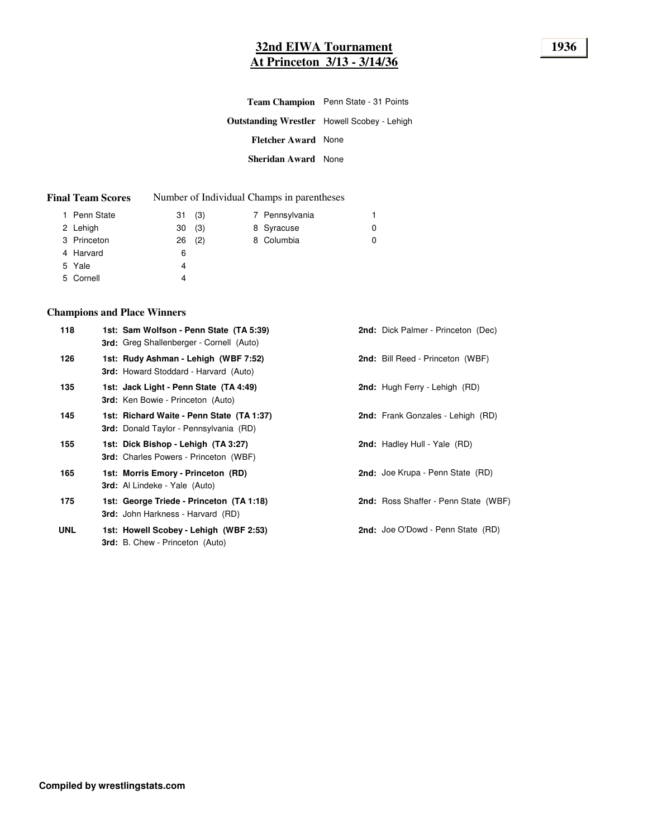# **32nd EIWA Tournament 1936 At Princeton 3/13 - 3/14/36**

|                            | <b>Team Champion</b> Penn State - 31 Points        |
|----------------------------|----------------------------------------------------|
|                            | <b>Outstanding Wrestler</b> Howell Scobey - Lehigh |
| <b>Fletcher Award</b> None |                                                    |
| <b>Sheridan Award</b> None |                                                    |

| <b>Final Team Scores</b> | Number of Individual Champs in parentheses           |  |                            |  |                                            |
|--------------------------|------------------------------------------------------|--|----------------------------|--|--------------------------------------------|
|                          |                                                      |  |                            |  |                                            |
|                          |                                                      |  |                            |  | O                                          |
|                          |                                                      |  |                            |  | 0                                          |
|                          | 6                                                    |  |                            |  |                                            |
|                          | 1 Penn State<br>2 Lehigh<br>3 Princeton<br>4 Harvard |  | 31(3)<br>30(3)<br>$26$ (2) |  | 7 Pennsylvania<br>8 Syracuse<br>8 Columbia |

# 5 Yale 4

## 5 Cornell 4

# **Champions and Place Winners**

| <b>2nd:</b> Bill Reed - Princeton (WBF)<br>1st: Rudy Ashman - Lehigh (WBF 7:52)<br>126<br><b>3rd:</b> Howard Stoddard - Harvard (Auto)<br><b>2nd:</b> Hugh Ferry - Lehigh (RD)<br>1st: Jack Light - Penn State (TA 4:49)<br>135<br><b>3rd:</b> Ken Bowie - Princeton (Auto)<br><b>2nd:</b> Frank Gonzales - Lehigh (RD)<br>1st: Richard Waite - Penn State (TA 1:37)<br>145<br><b>3rd:</b> Donald Taylor - Pennsylvania (RD)<br><b>2nd:</b> Hadley Hull - Yale (RD)<br>155<br>1st: Dick Bishop - Lehigh (TA 3:27)<br><b>3rd:</b> Charles Powers - Princeton (WBF)<br>2nd: Joe Krupa - Penn State (RD)<br>165<br>1st: Morris Emory - Princeton (RD)<br><b>3rd:</b> Al Lindeke - Yale (Auto)<br>2nd: Ross Shaffer - Penn State (WBF)<br>175<br>1st: George Triede - Princeton (TA 1:18) | <b>2nd:</b> Dick Palmer - Princeton (Dec) |
|---------------------------------------------------------------------------------------------------------------------------------------------------------------------------------------------------------------------------------------------------------------------------------------------------------------------------------------------------------------------------------------------------------------------------------------------------------------------------------------------------------------------------------------------------------------------------------------------------------------------------------------------------------------------------------------------------------------------------------------------------------------------------------------|-------------------------------------------|
|                                                                                                                                                                                                                                                                                                                                                                                                                                                                                                                                                                                                                                                                                                                                                                                       |                                           |
|                                                                                                                                                                                                                                                                                                                                                                                                                                                                                                                                                                                                                                                                                                                                                                                       |                                           |
|                                                                                                                                                                                                                                                                                                                                                                                                                                                                                                                                                                                                                                                                                                                                                                                       |                                           |
|                                                                                                                                                                                                                                                                                                                                                                                                                                                                                                                                                                                                                                                                                                                                                                                       |                                           |
|                                                                                                                                                                                                                                                                                                                                                                                                                                                                                                                                                                                                                                                                                                                                                                                       |                                           |
| <b>3rd:</b> John Harkness - Harvard (RD)                                                                                                                                                                                                                                                                                                                                                                                                                                                                                                                                                                                                                                                                                                                                              |                                           |
| <b>2nd:</b> Joe O'Dowd - Penn State (RD)<br><b>UNL</b><br>1st: Howell Scobey - Lehigh (WBF 2:53)<br><b>3rd:</b> B. Chew - Princeton (Auto)                                                                                                                                                                                                                                                                                                                                                                                                                                                                                                                                                                                                                                            |                                           |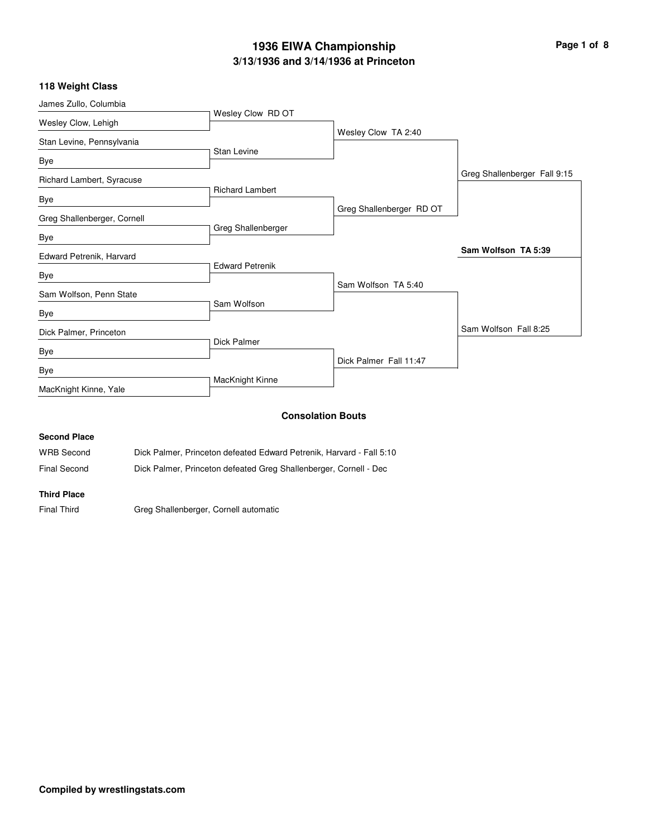# **3/13/1936 and 3/14/1936 at Princeton 1936 EIWA Championship Page 1 of 8**

## **118 Weight Class**

| James Zullo, Columbia       |                                                                      |                          |                              |
|-----------------------------|----------------------------------------------------------------------|--------------------------|------------------------------|
| Wesley Clow, Lehigh         | Wesley Clow RD OT                                                    |                          |                              |
| Stan Levine, Pennsylvania   |                                                                      | Wesley Clow TA 2:40      |                              |
| <b>Bye</b>                  | Stan Levine                                                          |                          |                              |
| Richard Lambert, Syracuse   |                                                                      |                          | Greg Shallenberger Fall 9:15 |
| Bye                         | <b>Richard Lambert</b>                                               |                          |                              |
| Greg Shallenberger, Cornell |                                                                      | Greg Shallenberger RD OT |                              |
| Bye                         | Greg Shallenberger                                                   |                          |                              |
| Edward Petrenik, Harvard    |                                                                      |                          | Sam Wolfson TA 5:39          |
| Bye                         | <b>Edward Petrenik</b>                                               |                          |                              |
| Sam Wolfson, Penn State     |                                                                      | Sam Wolfson TA 5:40      |                              |
| Bye                         | Sam Wolfson                                                          |                          |                              |
| Dick Palmer, Princeton      |                                                                      |                          | Sam Wolfson Fall 8:25        |
| Bye                         | Dick Palmer                                                          |                          |                              |
| <b>Bye</b>                  |                                                                      | Dick Palmer Fall 11:47   |                              |
| MacKnight Kinne, Yale       | MacKnight Kinne                                                      |                          |                              |
|                             |                                                                      | <b>Consolation Bouts</b> |                              |
| <b>Second Place</b>         |                                                                      |                          |                              |
| <b>WRB Second</b>           | Dick Palmer, Princeton defeated Edward Petrenik, Harvard - Fall 5:10 |                          |                              |

Final Second Dick Palmer, Princeton defeated Greg Shallenberger, Cornell - Dec

### **Third Place**

Final Third Greg Shallenberger, Cornell automatic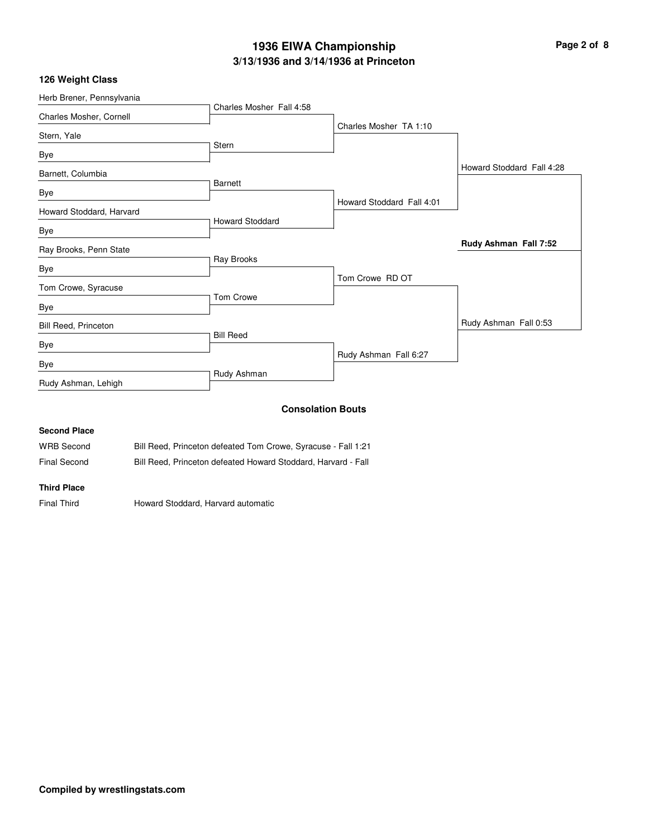# **3/13/1936 and 3/14/1936 at Princeton 1936 EIWA Championship Page 2 of 8**

## **126 Weight Class**

| Herb Brener, Pennsylvania   |                          |                           |                           |
|-----------------------------|--------------------------|---------------------------|---------------------------|
|                             | Charles Mosher Fall 4:58 |                           |                           |
| Charles Mosher, Cornell     |                          | Charles Mosher TA 1:10    |                           |
| Stern, Yale                 |                          |                           |                           |
| Bye                         | <b>Stern</b>             |                           |                           |
| Barnett, Columbia           |                          |                           | Howard Stoddard Fall 4:28 |
|                             | <b>Barnett</b>           |                           |                           |
| Bye                         |                          | Howard Stoddard Fall 4:01 |                           |
| Howard Stoddard, Harvard    |                          |                           |                           |
| Bye                         | <b>Howard Stoddard</b>   |                           |                           |
| Ray Brooks, Penn State      |                          |                           | Rudy Ashman Fall 7:52     |
| Bye                         | Ray Brooks               |                           |                           |
| Tom Crowe, Syracuse         |                          | Tom Crowe RD OT           |                           |
| Bye                         | Tom Crowe                |                           |                           |
| <b>Bill Reed, Princeton</b> |                          |                           | Rudy Ashman Fall 0:53     |
|                             | <b>Bill Reed</b>         |                           |                           |
| Bye                         |                          | Rudy Ashman Fall 6:27     |                           |
| Bye                         |                          |                           |                           |
| Rudy Ashman, Lehigh         | Rudy Ashman              |                           |                           |
|                             |                          | <b>Consolation Bouts</b>  |                           |

# **Second Place** WRB Second Bill Reed, Princeton defeated Tom Crowe, Syracuse - Fall 1:21 Final Second Bill Reed, Princeton defeated Howard Stoddard, Harvard - Fall

#### **Third Place**

Final Third Howard Stoddard, Harvard automatic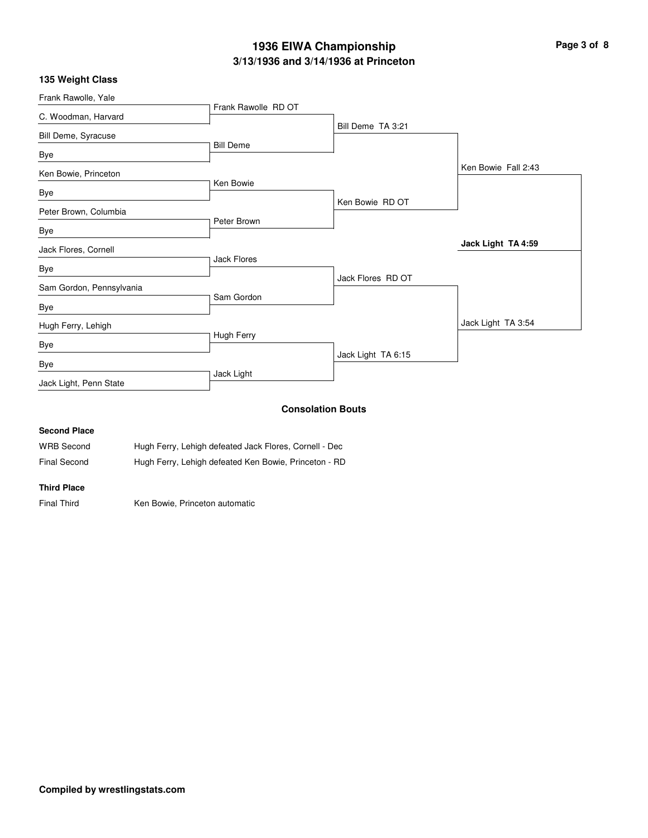# **3/13/1936 and 3/14/1936 at Princeton 1936 EIWA Championship Page 3 of 8**

|  |  |  | 135 Weight Class |
|--|--|--|------------------|
|--|--|--|------------------|

| Frank Rawolle, Yale      |                     |                    |                     |
|--------------------------|---------------------|--------------------|---------------------|
| C. Woodman, Harvard      | Frank Rawolle RD OT |                    |                     |
| Bill Deme, Syracuse      |                     | Bill Deme TA 3:21  |                     |
| Bye                      | <b>Bill Deme</b>    |                    |                     |
| Ken Bowie, Princeton     |                     |                    | Ken Bowie Fall 2:43 |
|                          | Ken Bowie           |                    |                     |
| Bye                      |                     | Ken Bowie RD OT    |                     |
| Peter Brown, Columbia    | Peter Brown         |                    |                     |
| Bye                      |                     |                    |                     |
| Jack Flores, Cornell     |                     |                    | Jack Light TA 4:59  |
| Bye                      | Jack Flores         |                    |                     |
| Sam Gordon, Pennsylvania |                     | Jack Flores RD OT  |                     |
| Bye                      | Sam Gordon          |                    |                     |
| Hugh Ferry, Lehigh       |                     |                    | Jack Light TA 3:54  |
| Bye                      | Hugh Ferry          |                    |                     |
| Bye                      |                     | Jack Light TA 6:15 |                     |
| Jack Light, Penn State   | Jack Light          |                    |                     |
|                          |                     |                    |                     |

## **Consolation Bouts**

## **Second Place**

| WRB Second   | Hugh Ferry, Lehigh defeated Jack Flores, Cornell - Dec |
|--------------|--------------------------------------------------------|
| Final Second | Hugh Ferry, Lehigh defeated Ken Bowie, Princeton - RD  |

#### **Third Place**

Final Third Ken Bowie, Princeton automatic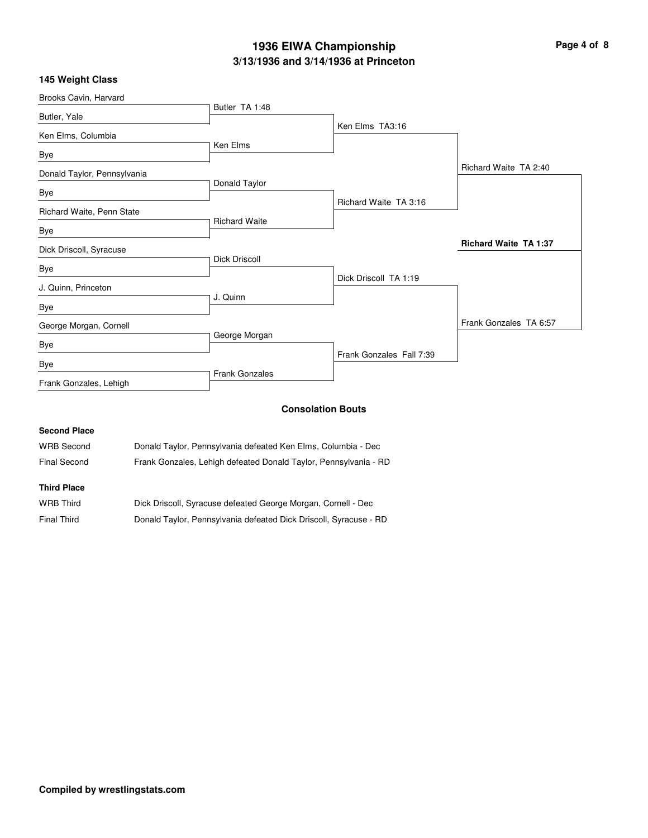# **3/13/1936 and 3/14/1936 at Princeton 1936 EIWA Championship Page 4 of 8**

| Brooks Cavin, Harvard       |                       |                          |                              |
|-----------------------------|-----------------------|--------------------------|------------------------------|
| Butler, Yale                | Butler TA 1:48        |                          |                              |
| Ken Elms, Columbia          |                       | Ken Elms TA3:16          |                              |
| Bye                         | Ken Elms              |                          |                              |
| Donald Taylor, Pennsylvania |                       |                          | Richard Waite TA 2:40        |
| Bye                         | Donald Taylor         |                          |                              |
| Richard Waite, Penn State   |                       | Richard Waite TA 3:16    |                              |
| Bye                         | <b>Richard Waite</b>  |                          |                              |
| Dick Driscoll, Syracuse     |                       |                          | <b>Richard Waite TA 1:37</b> |
| Bye                         | <b>Dick Driscoll</b>  |                          |                              |
| J. Quinn, Princeton         |                       | Dick Driscoll TA 1:19    |                              |
| Bye                         | J. Quinn              |                          |                              |
| George Morgan, Cornell      |                       |                          | Frank Gonzales TA 6:57       |
| Bye                         | George Morgan         |                          |                              |
| Bye                         |                       | Frank Gonzales Fall 7:39 |                              |
| Frank Gonzales, Lehigh      | <b>Frank Gonzales</b> |                          |                              |
|                             |                       |                          |                              |

## **Consolation Bouts**

## **Second Place**

| <b>WRB Second</b> | Donald Taylor, Pennsylvania defeated Ken Elms, Columbia - Dec    |
|-------------------|------------------------------------------------------------------|
| Final Second      | Frank Gonzales, Lehigh defeated Donald Taylor, Pennsylvania - RD |

## **Third Place**

| <b>WRB Third</b>   | Dick Driscoll, Syracuse defeated George Morgan, Cornell - Dec     |
|--------------------|-------------------------------------------------------------------|
| <b>Final Third</b> | Donald Taylor, Pennsylvania defeated Dick Driscoll, Syracuse - RD |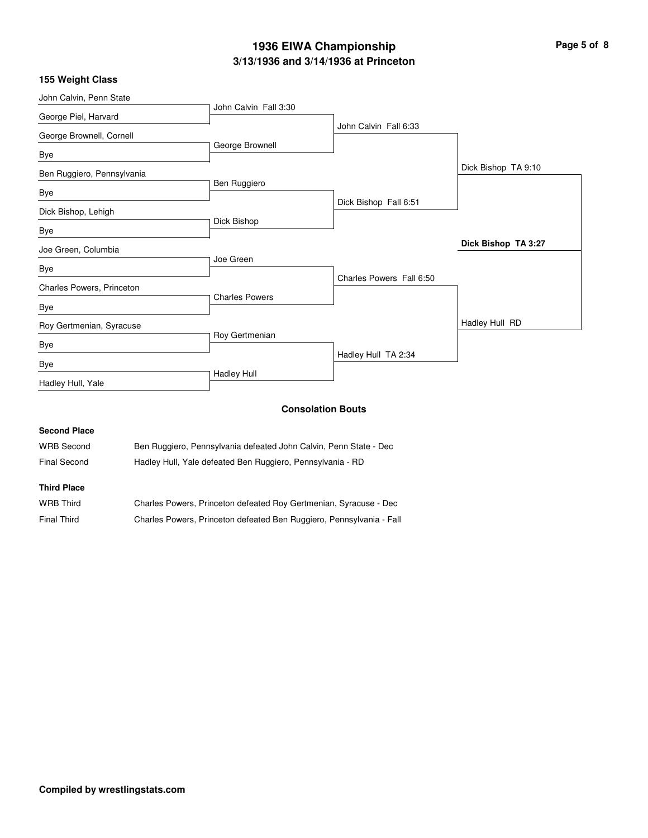# **3/13/1936 and 3/14/1936 at Princeton 1936 EIWA Championship Page 5 of 8**

|  |  |  |  | 155 Weight Class |
|--|--|--|--|------------------|
|--|--|--|--|------------------|

| John Calvin, Penn State    |                       |                          |                     |
|----------------------------|-----------------------|--------------------------|---------------------|
| George Piel, Harvard       | John Calvin Fall 3:30 |                          |                     |
| George Brownell, Cornell   |                       | John Calvin Fall 6:33    |                     |
| Bye                        | George Brownell       |                          |                     |
| Ben Ruggiero, Pennsylvania |                       |                          | Dick Bishop TA 9:10 |
| Bye                        | Ben Ruggiero          |                          |                     |
| Dick Bishop, Lehigh        |                       | Dick Bishop Fall 6:51    |                     |
| Bye                        | Dick Bishop           |                          |                     |
| Joe Green, Columbia        |                       |                          | Dick Bishop TA 3:27 |
| Bye                        | Joe Green             |                          |                     |
| Charles Powers, Princeton  |                       | Charles Powers Fall 6:50 |                     |
|                            | <b>Charles Powers</b> |                          |                     |
| Bye                        |                       |                          | Hadley Hull RD      |
| Roy Gertmenian, Syracuse   | Roy Gertmenian        |                          |                     |
| <b>Bye</b>                 |                       | Hadley Hull TA 2:34      |                     |
| Bye                        |                       |                          |                     |
| Hadley Hull, Yale          | <b>Hadley Hull</b>    |                          |                     |
|                            |                       |                          |                     |

## **Consolation Bouts**

## **Second Place**

| WRB Second         | Ben Ruggiero, Pennsylvania defeated John Calvin, Penn State - Dec |
|--------------------|-------------------------------------------------------------------|
| Final Second       | Hadley Hull, Yale defeated Ben Ruggiero, Pennsylvania - RD        |
| <b>Third Place</b> |                                                                   |

| <b>WRB Third</b> | Charles Powers, Princeton defeated Roy Gertmenian, Syracuse - Dec    |
|------------------|----------------------------------------------------------------------|
| Final Third      | Charles Powers, Princeton defeated Ben Ruggiero, Pennsylvania - Fall |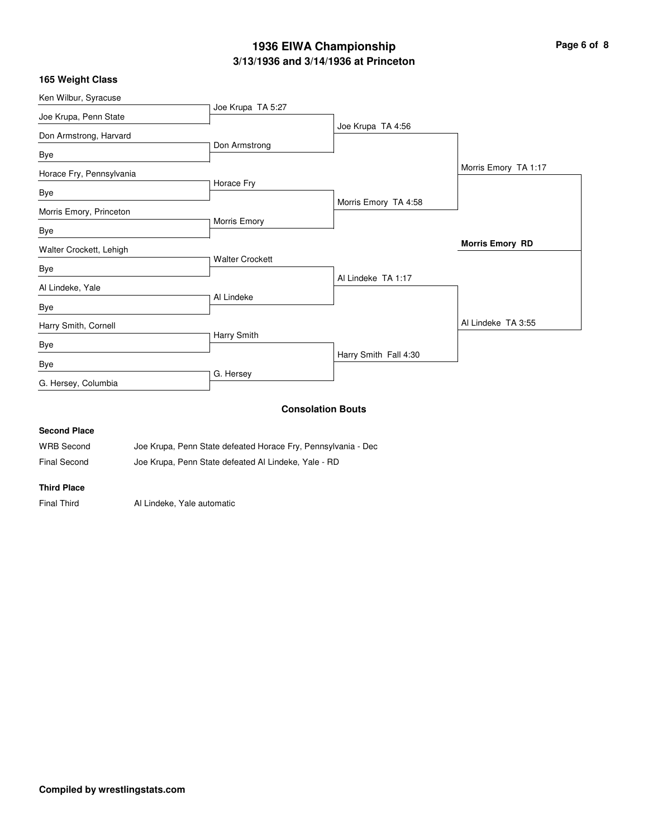# **3/13/1936 and 3/14/1936 at Princeton 1936 EIWA Championship Page 6 of 8**

|  |  |  |  | 165 Weight Class |
|--|--|--|--|------------------|
|--|--|--|--|------------------|

| Ken Wilbur, Syracuse     |                        |                       |                        |
|--------------------------|------------------------|-----------------------|------------------------|
| Joe Krupa, Penn State    | Joe Krupa TA 5:27      |                       |                        |
| Don Armstrong, Harvard   |                        | Joe Krupa TA 4:56     |                        |
|                          | Don Armstrong          |                       |                        |
| Bye                      |                        |                       |                        |
| Horace Fry, Pennsylvania |                        |                       | Morris Emory TA 1:17   |
| Bye                      | Horace Fry             |                       |                        |
|                          |                        | Morris Emory TA 4:58  |                        |
| Morris Emory, Princeton  | Morris Emory           |                       |                        |
| Bye                      |                        |                       |                        |
| Walter Crockett, Lehigh  |                        |                       | <b>Morris Emory RD</b> |
| Bye                      | <b>Walter Crockett</b> |                       |                        |
|                          |                        | Al Lindeke TA 1:17    |                        |
| Al Lindeke, Yale         | Al Lindeke             |                       |                        |
| Bye                      |                        |                       |                        |
| Harry Smith, Cornell     |                        |                       | Al Lindeke TA 3:55     |
| Bye                      | Harry Smith            |                       |                        |
| Bye                      |                        | Harry Smith Fall 4:30 |                        |
| G. Hersey, Columbia      | G. Hersey              |                       |                        |
|                          |                        | Osmaalatism Danta     |                        |

#### **Consolation Bouts**

## **Second Place**

| <b>WRB Second</b>   | Joe Krupa, Penn State defeated Horace Fry, Pennsylvania - Dec |
|---------------------|---------------------------------------------------------------|
| <b>Final Second</b> | Joe Krupa, Penn State defeated Al Lindeke, Yale - RD          |

#### **Third Place**

Final Third **Al Lindeke**, Yale automatic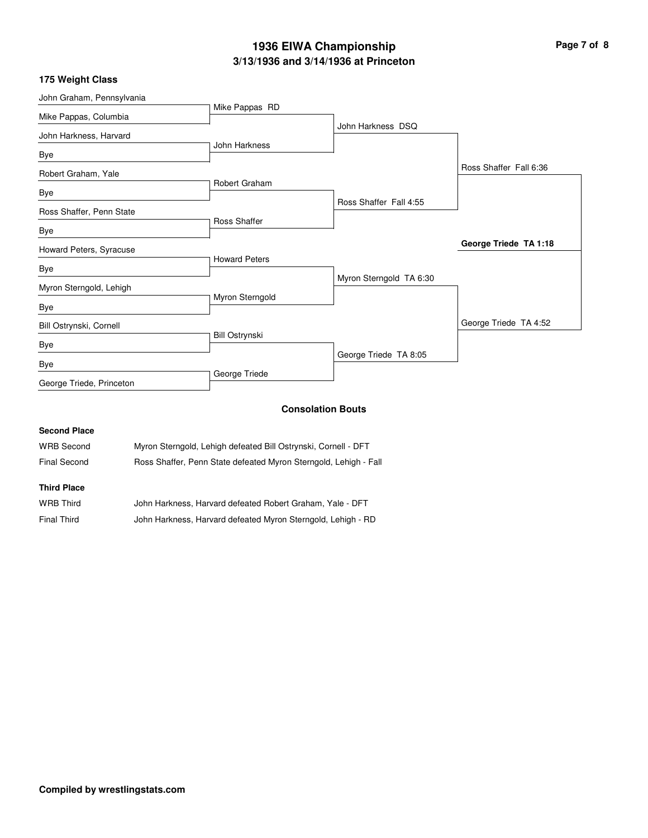# **3/13/1936 and 3/14/1936 at Princeton 1936 EIWA Championship Page 7 of 8**

| 175 Weight Class |  |  |  |
|------------------|--|--|--|
|------------------|--|--|--|

|               | John Harkness DSQ                                                                                                                    |                        |
|---------------|--------------------------------------------------------------------------------------------------------------------------------------|------------------------|
|               |                                                                                                                                      |                        |
|               |                                                                                                                                      |                        |
|               |                                                                                                                                      | Ross Shaffer Fall 6:36 |
|               |                                                                                                                                      |                        |
|               | Ross Shaffer Fall 4:55                                                                                                               |                        |
|               |                                                                                                                                      |                        |
|               |                                                                                                                                      |                        |
|               |                                                                                                                                      | George Triede TA 1:18  |
|               |                                                                                                                                      |                        |
|               | Myron Sterngold TA 6:30                                                                                                              |                        |
|               |                                                                                                                                      |                        |
|               |                                                                                                                                      |                        |
|               |                                                                                                                                      | George Triede TA 4:52  |
|               |                                                                                                                                      |                        |
|               | George Triede TA 8:05                                                                                                                |                        |
| George Triede |                                                                                                                                      |                        |
|               | Mike Pappas RD<br>John Harkness<br>Robert Graham<br>Ross Shaffer<br><b>Howard Peters</b><br>Myron Sterngold<br><b>Bill Ostrynski</b> |                        |

### **Consolation Bouts**

| <b>Second Place</b> |                                                                  |
|---------------------|------------------------------------------------------------------|
| <b>WRB Second</b>   | Myron Sterngold, Lehigh defeated Bill Ostrynski, Cornell - DFT   |
| Final Second        | Ross Shaffer, Penn State defeated Myron Sterngold, Lehigh - Fall |
| <b>Third Place</b>  |                                                                  |

| WRB Third   | John Harkness, Harvard defeated Robert Graham, Yale - DFT    |
|-------------|--------------------------------------------------------------|
| Final Third | John Harkness, Harvard defeated Myron Sterngold, Lehigh - RD |